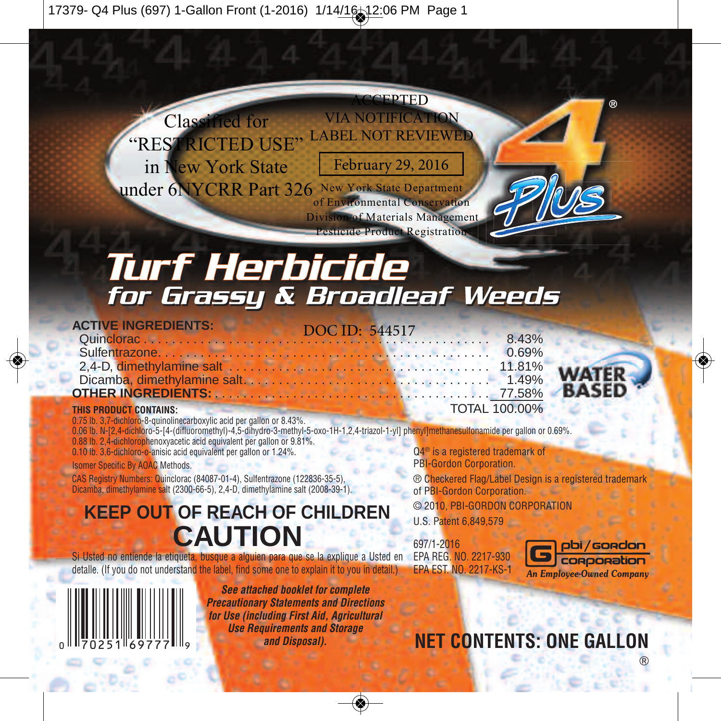February 29, 2016 VIA NOTIFICATION LABEL NOT REVIEWEI New York State Department of Environmental Conservation Classified for "RESTRICTED USE in New York State under 6NYCRR Part 326

> Division of Materials Management Pesticide Product Registration

**EPTED** 

# **Turf Herbicide** for Grassy & Broadleaf Weeds

| <b>ACTIVE INGREDIENTS:</b> |                              |                      |  |
|----------------------------|------------------------------|----------------------|--|
|                            |                              |                      |  |
|                            |                              |                      |  |
|                            | Dicamba, dimethylamine salt. |                      |  |
|                            |                              |                      |  |
| THIS PRODUCT CONTAINS:     |                              | <b>TOTAL 100.00%</b> |  |

0.75 lb. 3,7-dichloro-8-quinolinecarboxylic acid per gallon or 8.43%.

0.06 lb. N-[2,4-dichloro-5-[4-(difluoromethyl)-4,5-dihydro-3-methyl-5-oxo-1H-1,2,4-triazol-1-yl] phenyl]methanesulfonamide per gallon or 0.69%. 0.88 lb. 2,4-dichlorophenoxyacetic acid equivalent per gallon or 9.81%.

0.10 lb. 3,6-dichloro-o-anisic acid equivalent per gallon or 1.24%.

Isomer Specific By AOAC Methods.

0 || || 70251 || 69777 || || 19

CAS Registry Numbers: Quinclorac (84087-01-4), Sulfentrazone (122836-35-5), Dicamba, dimethylamine salt (2300-66-5), 2,4-D, dimethylamine salt (2008-39-1).

# **KEEP OUT OF REACH OF CHILDREN CAUTION**

Si Usted no entiende la etiqueta, busque a alguien para que se la explique a Usted en detalle. (If you do not understand the label, find some one to explain it to you in detail.)

> *See attached booklet for complete Precautionary Statements and Directions for Use (including First Aid, Agricultural Use Requirements and Storage and Disposal).*

Q4<sup>®</sup> is a registered trademark of PBI-Gordon Corporation.

® Checkered Flag/Label Design is a registered trademark of PBI-Gordon Corporation.

© 2010, PBI-GORDON CORPORATION

U.S. Patent 6,849,579

697/1-2016 EPA REG. NO. 2217-930 EPA EST. NO. 2217-KS-1



**BASED** 

# **NET CONTENTS: ONE GALLON**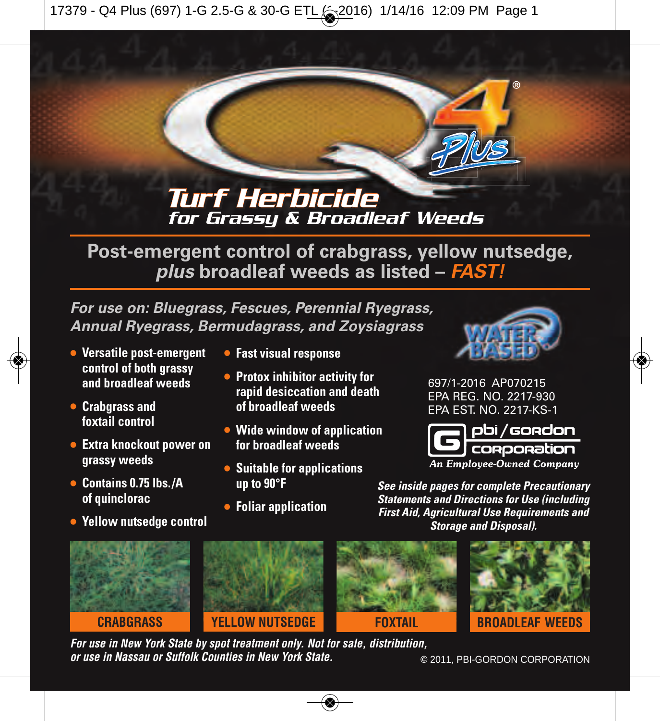

**Post-emergent control of crabgrass, yellow nutsedge,** *plus* **broadleaf weeds as listed –** *FAST!*

*For use on: Bluegrass, Fescues, Perennial Ryegrass, Annual Ryegrass, Bermudagrass, and Zoysiagrass*

- **• Versatile post-emergent control of both grassy and broadleaf weeds**
- **• Crabgrass and foxtail control**
- **• Extra knockout power on grassy weeds**
- **• Contains 0.75 lbs./A of quinclorac**
- **• Yellow nutsedge control**





- **• Protox inhibitor activity for rapid desiccation and death of broadleaf weeds**
- **• Wide window of application for broadleaf weeds**
- **• Suitable for applications up to 90°F**
- **• Foliar application**



697/1-2016 AP070215 EPA REG. NO. 2217-930 EPA EST. NO. 2217-KS-1



*See inside pages for complete Precautionary Statements and Directions for Use (including First Aid, Agricultural Use Requirements and Storage and Disposal).*





*For use in New York State by spot treatment only. Not for sale, distribution, or use in Nassau or Suffolk Counties in New York State.*

**©** 2011, PBI-GORDON CORPORATION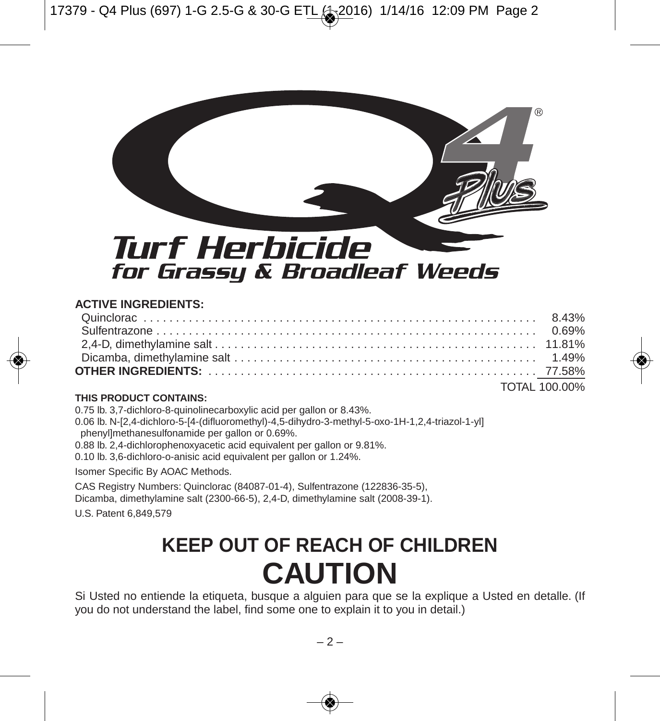# Turf Herbicide for Grassy & Broadleaf Weeds

#### **ACTIVE INGREDIENTS:**

|  | TOTAL 100.00% |
|--|---------------|

#### **THIS PRODUCT CONTAINS:**

0.75 lb. 3,7-dichloro-8-quinolinecarboxylic acid per gallon or 8.43%.

0.06 lb. N-[2,4-dichloro-5-[4-(difluoromethyl)-4,5-dihydro-3-methyl-5-oxo-1H-1,2,4-triazol-1-yl] phenyl]methanesulfonamide per gallon or 0.69%.

0.88 lb. 2,4-dichlorophenoxyacetic acid equivalent per gallon or 9.81%.

0.10 lb. 3,6-dichloro-o-anisic acid equivalent per gallon or 1.24%.

Isomer Specific By AOAC Methods.

CAS Registry Numbers: Quinclorac (84087-01-4), Sulfentrazone (122836-35-5), Dicamba, dimethylamine salt (2300-66-5), 2,4-D, dimethylamine salt (2008-39-1).

U.S. Patent 6,849,579

# **KEEP OUT OF REACH OF CHILDREN CAUTION**

Si Usted no entiende la etiqueta, busque a alguien para que se la explique a Usted en detalle. (If you do not understand the label, find some one to explain it to you in detail.)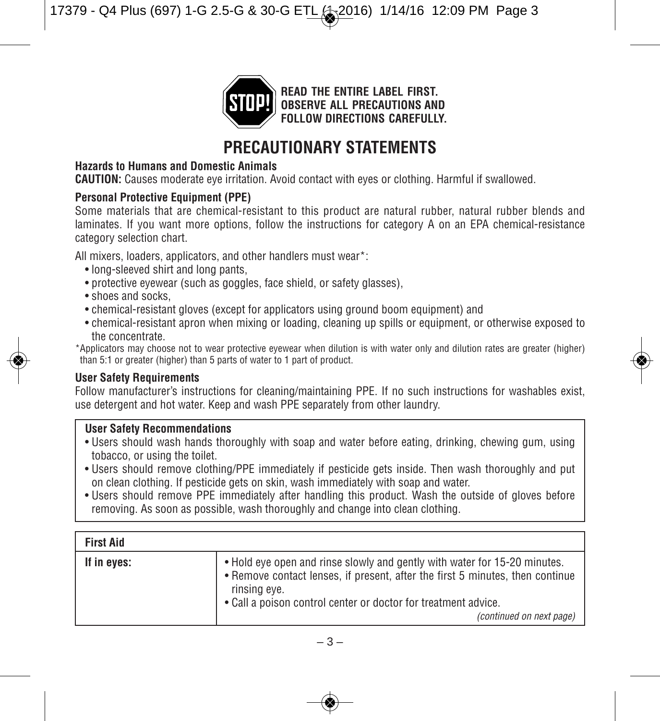

### **PRECAUTIONARY STATEMENTS**

### **Hazards to Humans and Domestic Animals**

**CAUTION:** Causes moderate eye irritation. Avoid contact with eyes or clothing. Harmful if swallowed.

### **Personal Protective Equipment (PPE)**

Some materials that are chemical-resistant to this product are natural rubber, natural rubber blends and laminates. If you want more options, follow the instructions for category A on an EPA chemical-resistance category selection chart.

All mixers, loaders, applicators, and other handlers must wear\*:

- long-sleeved shirt and long pants,
- protective eyewear (such as goggles, face shield, or safety glasses),
- shoes and socks
- chemical-resistant gloves (except for applicators using ground boom equipment) and
- chemical-resistant apron when mixing or loading, cleaning up spills or equipment, or otherwise exposed to the concentrate.

\*Applicators may choose not to wear protective eyewear when dilution is with water only and dilution rates are greater (higher) than 5:1 or greater (higher) than 5 parts of water to 1 part of product.

### **User Safety Requirements**

Follow manufacturer's instructions for cleaning/maintaining PPE. If no such instructions for washables exist, use detergent and hot water. Keep and wash PPE separately from other laundry.

#### **User Safety Recommendations**

- Users should wash hands thoroughly with soap and water before eating, drinking, chewing gum, using tobacco, or using the toilet.
- Users should remove clothing/PPE immediately if pesticide gets inside. Then wash thoroughly and put on clean clothing. If pesticide gets on skin, wash immediately with soap and water.
- Users should remove PPE immediately after handling this product. Wash the outside of gloves before removing. As soon as possible, wash thoroughly and change into clean clothing.

| <b>First Aid</b> |                                                                                                                                                                                                                                                                          |
|------------------|--------------------------------------------------------------------------------------------------------------------------------------------------------------------------------------------------------------------------------------------------------------------------|
| If in eyes:      | . Hold eye open and rinse slowly and gently with water for 15-20 minutes.<br>• Remove contact lenses, if present, after the first 5 minutes, then continue<br>rinsing eye.<br>• Call a poison control center or doctor for treatment advice.<br>(continued on next page) |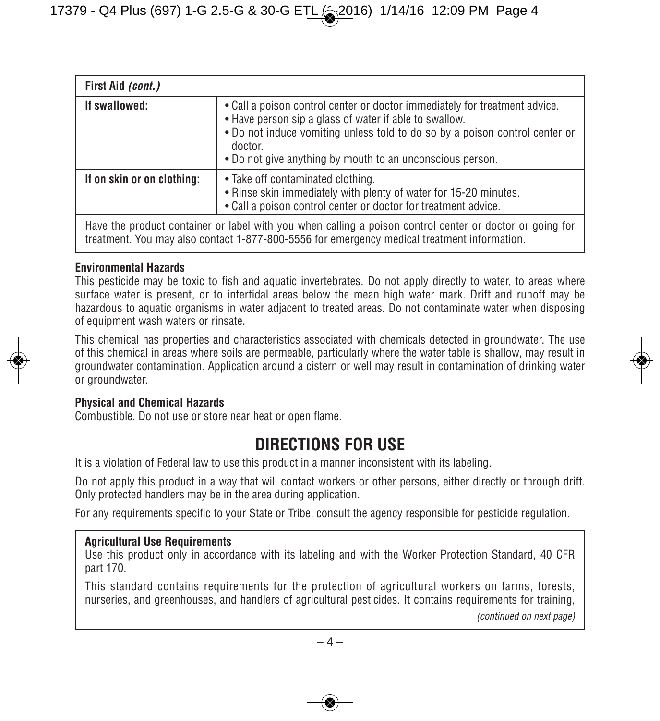| First Aid <i>(cont.)</i>                                                                                                                                                                                |                                                                                                                                                                                                                                                                                             |
|---------------------------------------------------------------------------------------------------------------------------------------------------------------------------------------------------------|---------------------------------------------------------------------------------------------------------------------------------------------------------------------------------------------------------------------------------------------------------------------------------------------|
| If swallowed:                                                                                                                                                                                           | • Call a poison control center or doctor immediately for treatment advice.<br>• Have person sip a glass of water if able to swallow.<br>. Do not induce vomiting unless told to do so by a poison control center or<br>doctor.<br>• Do not give anything by mouth to an unconscious person. |
| If on skin or on clothing:                                                                                                                                                                              | • Take off contaminated clothing.<br>. Rinse skin immediately with plenty of water for 15-20 minutes.<br>. Call a poison control center or doctor for treatment advice.                                                                                                                     |
| Have the product container or label with you when calling a poison control center or doctor or going for<br>treatment. You may also contact 1-877-800-5556 for emergency medical treatment information. |                                                                                                                                                                                                                                                                                             |

#### **Environmental Hazards**

This pesticide may be toxic to fish and aquatic invertebrates. Do not apply directly to water, to areas where surface water is present, or to intertidal areas below the mean high water mark. Drift and runoff may be hazardous to aquatic organisms in water adjacent to treated areas. Do not contaminate water when disposing of equipment wash waters or rinsate.

This chemical has properties and characteristics associated with chemicals detected in groundwater. The use of this chemical in areas where soils are permeable, particularly where the water table is shallow, may result in groundwater contamination. Application around a cistern or well may result in contamination of drinking water or groundwater.

### **Physical and Chemical Hazards**

Combustible. Do not use or store near heat or open flame.

### **DIRECTIONS FOR USE**

It is a violation of Federal law to use this product in a manner inconsistent with its labeling.

Do not apply this product in a way that will contact workers or other persons, either directly or through drift. Only protected handlers may be in the area during application.

For any requirements specific to your State or Tribe, consult the agency responsible for pesticide regulation.

#### **Agricultural Use Requirements**

Use this product only in accordance with its labeling and with the Worker Protection Standard, 40 CFR part 170.

This standard contains requirements for the protection of agricultural workers on farms, forests, nurseries, and greenhouses, and handlers of agricultural pesticides. It contains requirements for training,

*(continued on next page)*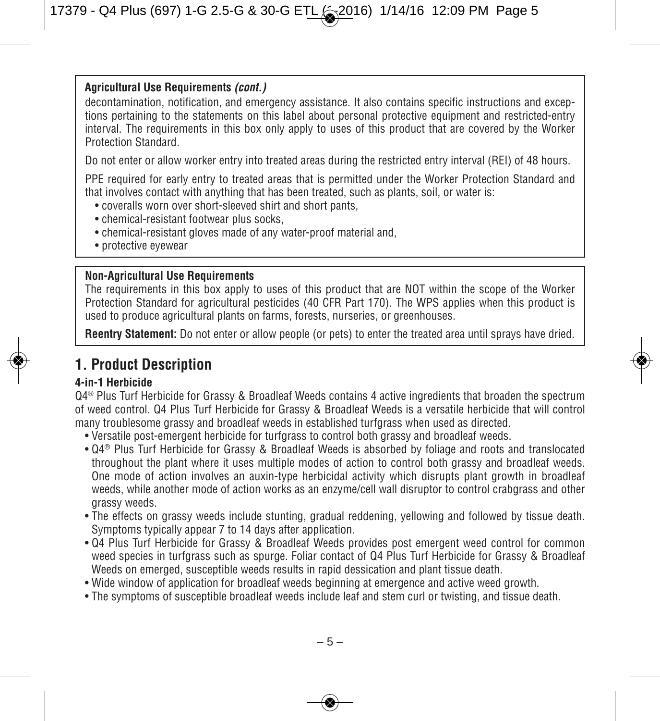### **Agricultural Use Requirements** *(cont.)*

decontamination, notification, and emergency assistance. It also contains specific instructions and exceptions pertaining to the statements on this label about personal protective equipment and restricted-entry interval. The requirements in this box only apply to uses of this product that are covered by the Worker Protection Standard.

Do not enter or allow worker entry into treated areas during the restricted entry interval (REI) of 48 hours.

PPE required for early entry to treated areas that is permitted under the Worker Protection Standard and that involves contact with anything that has been treated, such as plants, soil, or water is:

- coveralls worn over short-sleeved shirt and short pants,
- chemical-resistant footwear plus socks,
- chemical-resistant gloves made of any water-proof material and,
- protective eyewear

### **Non-Agricultural Use Requirements**

The requirements in this box apply to uses of this product that are NOT within the scope of the Worker Protection Standard for agricultural pesticides (40 CFR Part 170). The WPS applies when this product is used to produce agricultural plants on farms, forests, nurseries, or greenhouses.

**Reentry Statement:** Do not enter or allow people (or pets) to enter the treated area until sprays have dried.

### **1. Product Description**

### **4-in-1 Herbicide**

Q4® Plus Turf Herbicide for Grassy & Broadleaf Weeds contains 4 active ingredients that broaden the spectrum of weed control. Q4 Plus Turf Herbicide for Grassy & Broadleaf Weeds is a versatile herbicide that will control many troublesome grassy and broadleaf weeds in established turfgrass when used as directed.

- Versatile post-emergent herbicide for turfgrass to control both grassy and broadleaf weeds.
- Q4® Plus Turf Herbicide for Grassy & Broadleaf Weeds is absorbed by foliage and roots and translocated throughout the plant where it uses multiple modes of action to control both grassy and broadleaf weeds. One mode of action involves an auxin-type herbicidal activity which disrupts plant growth in broadleaf weeds, while another mode of action works as an enzyme/cell wall disruptor to control crabgrass and other grassy weeds.
- The effects on grassy weeds include stunting, gradual reddening, yellowing and followed by tissue death. Symptoms typically appear 7 to 14 days after application.
- Q4 Plus Turf Herbicide for Grassy & Broadleaf Weeds provides post emergent weed control for common weed species in turfgrass such as spurge. Foliar contact of Q4 Plus Turf Herbicide for Grassy & Broadleaf Weeds on emerged, susceptible weeds results in rapid dessication and plant tissue death.
- Wide window of application for broadleaf weeds beginning at emergence and active weed growth.
- The symptoms of susceptible broadleaf weeds include leaf and stem curl or twisting, and tissue death.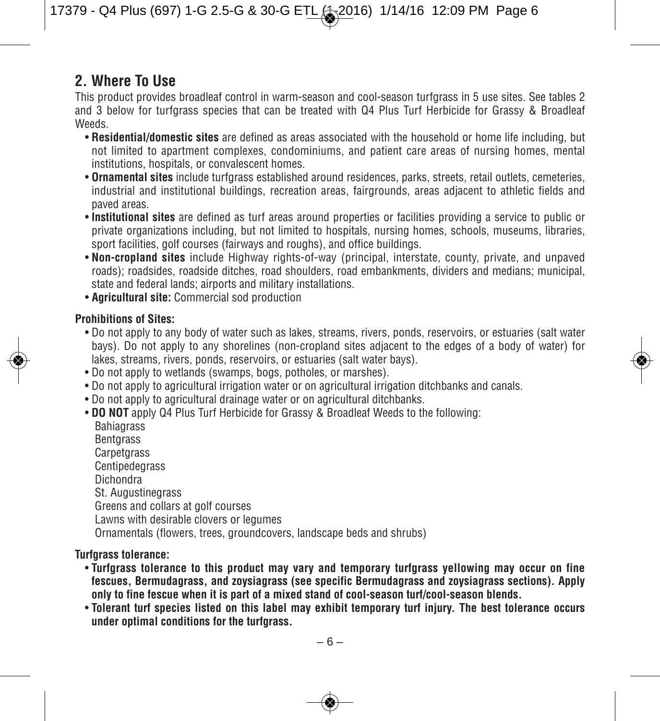### **2. Where To Use**

This product provides broadleaf control in warm-season and cool-season turfgrass in 5 use sites. See tables 2 and 3 below for turfgrass species that can be treated with Q4 Plus Turf Herbicide for Grassy & Broadleaf Weeds.

- **Residential/domestic sites** are defined as areas associated with the household or home life including, but not limited to apartment complexes, condominiums, and patient care areas of nursing homes, mental institutions, hospitals, or convalescent homes.
- **Ornamental sites** include turfgrass established around residences, parks, streets, retail outlets, cemeteries, industrial and institutional buildings, recreation areas, fairgrounds, areas adjacent to athletic fields and paved areas.
- **Institutional sites** are defined as turf areas around properties or facilities providing a service to public or private organizations including, but not limited to hospitals, nursing homes, schools, museums, libraries, sport facilities, golf courses (fairways and roughs), and office buildings.
- **Non-cropland sites** include Highway rights-of-way (principal, interstate, county, private, and unpaved roads); roadsides, roadside ditches, road shoulders, road embankments, dividers and medians; municipal, state and federal lands; airports and military installations.
- **Agricultural site:** Commercial sod production

### **Prohibitions of Sites:**

- Do not apply to any body of water such as lakes, streams, rivers, ponds, reservoirs, or estuaries (salt water bays). Do not apply to any shorelines (non-cropland sites adjacent to the edges of a body of water) for lakes, streams, rivers, ponds, reservoirs, or estuaries (salt water bays).
- Do not apply to wetlands (swamps, bogs, potholes, or marshes).
- Do not apply to agricultural irrigation water or on agricultural irrigation ditchbanks and canals.
- Do not apply to agricultural drainage water or on agricultural ditchbanks.
- **DO NOT** apply Q4 Plus Turf Herbicide for Grassy & Broadleaf Weeds to the following:
- Bahiagrass Bentgrass **Carpetgrass** Centipedegrass Dichondra St. Augustinegrass Greens and collars at golf courses Lawns with desirable clovers or legumes Ornamentals (flowers, trees, groundcovers, landscape beds and shrubs)

### **Turfgrass tolerance:**

- **Turfgrass tolerance to this product may vary and temporary turfgrass yellowing may occur on fine fescues, Bermudagrass, and zoysiagrass (see specific Bermudagrass and zoysiagrass sections). Apply only to fine fescue when it is part of a mixed stand of cool-season turf/cool-season blends.**
- **Tolerant turf species listed on this label may exhibit temporary turf injury. The best tolerance occurs under optimal conditions for the turfgrass.**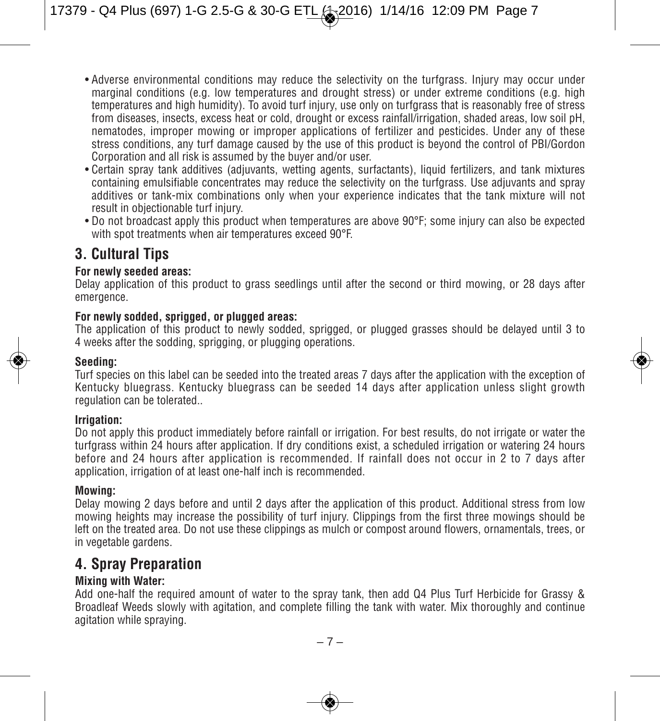- Adverse environmental conditions may reduce the selectivity on the turfgrass. Injury may occur under marginal conditions (e.g. low temperatures and drought stress) or under extreme conditions (e.g. high temperatures and high humidity). To avoid turf injury, use only on turfgrass that is reasonably free of stress from diseases, insects, excess heat or cold, drought or excess rainfall/irrigation, shaded areas, low soil pH, nematodes, improper mowing or improper applications of fertilizer and pesticides. Under any of these stress conditions, any turf damage caused by the use of this product is beyond the control of PBI/Gordon Corporation and all risk is assumed by the buyer and/or user.
- Certain spray tank additives (adjuvants, wetting agents, surfactants), liquid fertilizers, and tank mixtures containing emulsifiable concentrates may reduce the selectivity on the turfgrass. Use adjuvants and spray additives or tank-mix combinations only when your experience indicates that the tank mixture will not result in objectionable turf injury.
- Do not broadcast apply this product when temperatures are above 90°F; some injury can also be expected with spot treatments when air temperatures exceed 90°F.

### **3. Cultural Tips**

### **For newly seeded areas:**

Delay application of this product to grass seedlings until after the second or third mowing, or 28 days after emergence.

### **For newly sodded, sprigged, or plugged areas:**

The application of this product to newly sodded, sprigged, or plugged grasses should be delayed until 3 to 4 weeks after the sodding, sprigging, or plugging operations.

### **Seeding:**

Turf species on this label can be seeded into the treated areas 7 days after the application with the exception of Kentucky bluegrass. Kentucky bluegrass can be seeded 14 days after application unless slight growth regulation can be tolerated..

### **Irrigation:**

Do not apply this product immediately before rainfall or irrigation. For best results, do not irrigate or water the turfgrass within 24 hours after application. If dry conditions exist, a scheduled irrigation or watering 24 hours before and 24 hours after application is recommended. If rainfall does not occur in 2 to 7 days after application, irrigation of at least one-half inch is recommended.

### **Mowing:**

Delay mowing 2 days before and until 2 days after the application of this product. Additional stress from low mowing heights may increase the possibility of turf injury. Clippings from the first three mowings should be left on the treated area. Do not use these clippings as mulch or compost around flowers, ornamentals, trees, or in vegetable gardens.

### **4. Spray Preparation**

### **Mixing with Water:**

Add one-half the required amount of water to the spray tank, then add Q4 Plus Turf Herbicide for Grassy & Broadleaf Weeds slowly with agitation, and complete filling the tank with water. Mix thoroughly and continue agitation while spraying.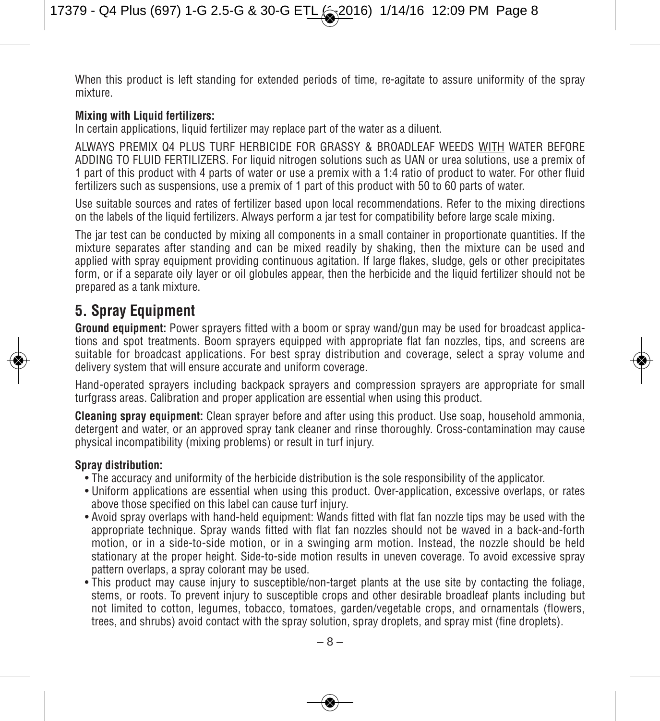When this product is left standing for extended periods of time, re-agitate to assure uniformity of the spray mixture.

### **Mixing with Liquid fertilizers:**

In certain applications, liquid fertilizer may replace part of the water as a diluent.

ALWAYS PREMIX Q4 PLUS TURF HERBICIDE FOR GRASSY & BROADLEAF WEEDS WITH WATER BEFORE ADDING TO FLUID FERTILIZERS. For liquid nitrogen solutions such as UAN or urea solutions, use a premix of 1 part of this product with 4 parts of water or use a premix with a 1:4 ratio of product to water. For other fluid fertilizers such as suspensions, use a premix of 1 part of this product with 50 to 60 parts of water.

Use suitable sources and rates of fertilizer based upon local recommendations. Refer to the mixing directions on the labels of the liquid fertilizers. Always perform a jar test for compatibility before large scale mixing.

The jar test can be conducted by mixing all components in a small container in proportionate quantities. If the mixture separates after standing and can be mixed readily by shaking, then the mixture can be used and applied with spray equipment providing continuous agitation. If large flakes, sludge, gels or other precipitates form, or if a separate oily layer or oil globules appear, then the herbicide and the liquid fertilizer should not be prepared as a tank mixture.

### **5. Spray Equipment**

**Ground equipment:** Power sprayers fitted with a boom or spray wand/gun may be used for broadcast applications and spot treatments. Boom sprayers equipped with appropriate flat fan nozzles, tips, and screens are suitable for broadcast applications. For best spray distribution and coverage, select a spray volume and delivery system that will ensure accurate and uniform coverage.

Hand-operated sprayers including backpack sprayers and compression sprayers are appropriate for small turfgrass areas. Calibration and proper application are essential when using this product.

**Cleaning spray equipment:** Clean sprayer before and after using this product. Use soap, household ammonia, detergent and water, or an approved spray tank cleaner and rinse thoroughly. Cross-contamination may cause physical incompatibility (mixing problems) or result in turf injury.

### **Spray distribution:**

- The accuracy and uniformity of the herbicide distribution is the sole responsibility of the applicator.
- Uniform applications are essential when using this product. Over-application, excessive overlaps, or rates above those specified on this label can cause turf injury.
- Avoid spray overlaps with hand-held equipment: Wands fitted with flat fan nozzle tips may be used with the appropriate technique. Spray wands fitted with flat fan nozzles should not be waved in a back-and-forth motion, or in a side-to-side motion, or in a swinging arm motion. Instead, the nozzle should be held stationary at the proper height. Side-to-side motion results in uneven coverage. To avoid excessive spray pattern overlaps, a spray colorant may be used.
- This product may cause injury to susceptible/non-target plants at the use site by contacting the foliage, stems, or roots. To prevent injury to susceptible crops and other desirable broadleaf plants including but not limited to cotton, legumes, tobacco, tomatoes, garden/vegetable crops, and ornamentals (flowers, trees, and shrubs) avoid contact with the spray solution, spray droplets, and spray mist (fine droplets).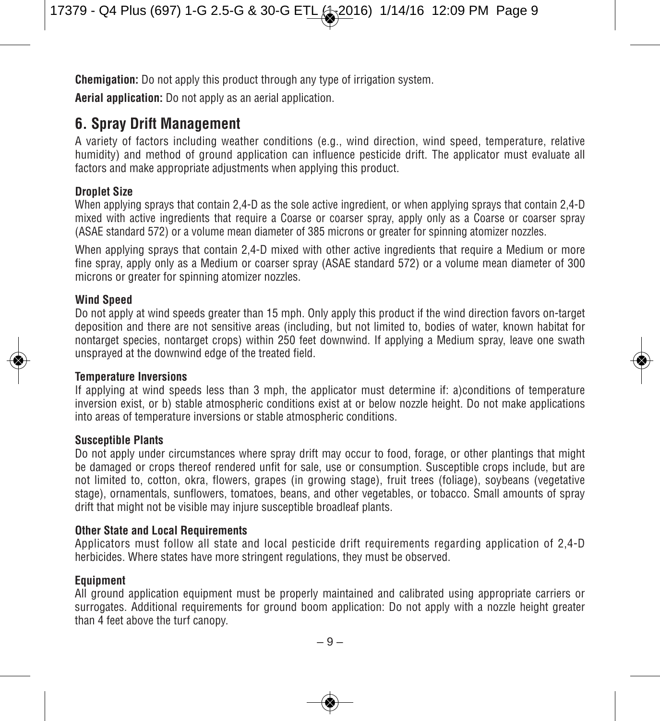**Chemigation:** Do not apply this product through any type of irrigation system.

**Aerial application:** Do not apply as an aerial application.

### **6. Spray Drift Management**

A variety of factors including weather conditions (e.g., wind direction, wind speed, temperature, relative humidity) and method of ground application can influence pesticide drift. The applicator must evaluate all factors and make appropriate adjustments when applying this product.

### **Droplet Size**

When applying sprays that contain 2,4-D as the sole active ingredient, or when applying sprays that contain 2,4-D mixed with active ingredients that require a Coarse or coarser spray, apply only as a Coarse or coarser spray (ASAE standard 572) or a volume mean diameter of 385 microns or greater for spinning atomizer nozzles.

When applying sprays that contain 2,4-D mixed with other active ingredients that require a Medium or more fine spray, apply only as a Medium or coarser spray (ASAE standard 572) or a volume mean diameter of 300 microns or greater for spinning atomizer nozzles.

### **Wind Speed**

Do not apply at wind speeds greater than 15 mph. Only apply this product if the wind direction favors on-target deposition and there are not sensitive areas (including, but not limited to, bodies of water, known habitat for nontarget species, nontarget crops) within 250 feet downwind. If applying a Medium spray, leave one swath unsprayed at the downwind edge of the treated field.

#### **Temperature Inversions**

If applying at wind speeds less than 3 mph, the applicator must determine if: a)conditions of temperature inversion exist, or b) stable atmospheric conditions exist at or below nozzle height. Do not make applications into areas of temperature inversions or stable atmospheric conditions.

### **Susceptible Plants**

Do not apply under circumstances where spray drift may occur to food, forage, or other plantings that might be damaged or crops thereof rendered unfit for sale, use or consumption. Susceptible crops include, but are not limited to, cotton, okra, flowers, grapes (in growing stage), fruit trees (foliage), soybeans (vegetative stage), ornamentals, sunflowers, tomatoes, beans, and other vegetables, or tobacco. Small amounts of spray drift that might not be visible may injure susceptible broadleaf plants.

#### **Other State and Local Requirements**

Applicators must follow all state and local pesticide drift requirements regarding application of 2,4-D herbicides. Where states have more stringent regulations, they must be observed.

### **Equipment**

All ground application equipment must be properly maintained and calibrated using appropriate carriers or surrogates. Additional requirements for ground boom application: Do not apply with a nozzle height greater than 4 feet above the turf canopy.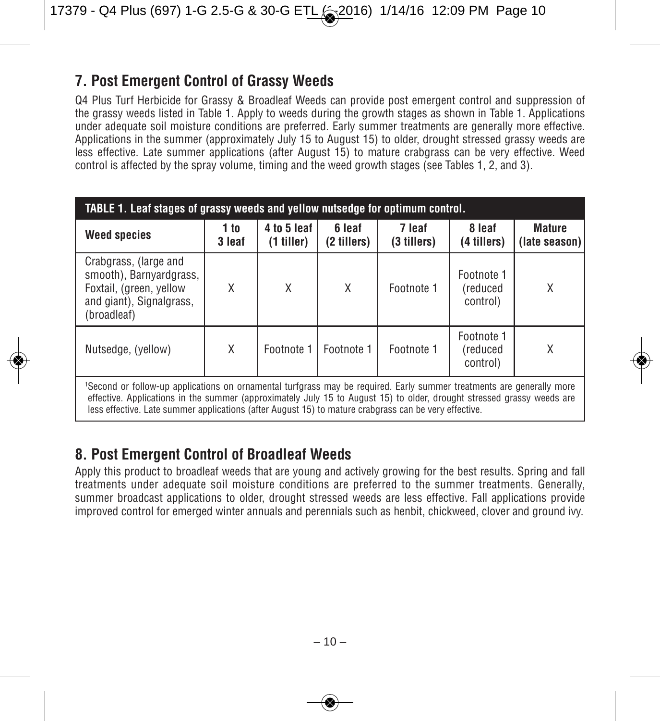### **7. Post Emergent Control of Grassy Weeds**

Q4 Plus Turf Herbicide for Grassy & Broadleaf Weeds can provide post emergent control and suppression of the grassy weeds listed in Table 1. Apply to weeds during the growth stages as shown in Table 1. Applications under adequate soil moisture conditions are preferred. Early summer treatments are generally more effective. Applications in the summer (approximately July 15 to August 15) to older, drought stressed grassy weeds are less effective. Late summer applications (after August 15) to mature crabgrass can be very effective. Weed control is affected by the spray volume, timing and the weed growth stages (see Tables 1, 2, and 3).

| TABLE 1. Leaf stages of grassy weeds and yellow nutsedge for optimum control.                                                                                                                                                                                                                                                                           |                |                           |                       |                       |                                    |                                |
|---------------------------------------------------------------------------------------------------------------------------------------------------------------------------------------------------------------------------------------------------------------------------------------------------------------------------------------------------------|----------------|---------------------------|-----------------------|-----------------------|------------------------------------|--------------------------------|
| <b>Weed species</b>                                                                                                                                                                                                                                                                                                                                     | 1 to<br>3 leaf | 4 to 5 leaf<br>(1 tiller) | 6 leaf<br>(2 tillers) | 7 leaf<br>(3 tillers) | 8 leaf<br>(4 tillers)              | <b>Mature</b><br>(late season) |
| Crabgrass, (large and<br>smooth), Barnyardgrass,<br>Foxtail, (green, yellow<br>and giant), Signalgrass,<br>(broadleaf)                                                                                                                                                                                                                                  | χ              | X                         | X                     | Footnote 1            | Footnote 1<br>(reduced<br>control) | Χ                              |
| Nutsedge, (yellow)                                                                                                                                                                                                                                                                                                                                      | X              | Footnote 1                | Footnote 1            | Footnote 1            | Footnote 1<br>(reduced<br>control) | χ                              |
| Second or follow-up applications on ornamental turfgrass may be required. Early summer treatments are generally more<br>effective. Applications in the summer (approximately July 15 to August 15) to older, drought stressed grassy weeds are<br>less effective. Late summer applications (after August 15) to mature crabgrass can be very effective. |                |                           |                       |                       |                                    |                                |

### **8. Post Emergent Control of Broadleaf Weeds**

Apply this product to broadleaf weeds that are young and actively growing for the best results. Spring and fall treatments under adequate soil moisture conditions are preferred to the summer treatments. Generally, summer broadcast applications to older, drought stressed weeds are less effective. Fall applications provide improved control for emerged winter annuals and perennials such as henbit, chickweed, clover and ground ivy.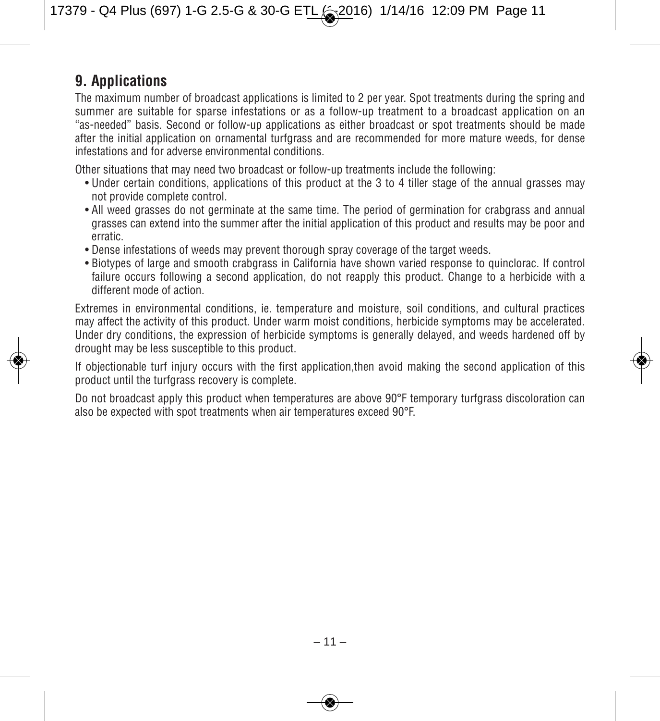### **9. Applications**

The maximum number of broadcast applications is limited to 2 per year. Spot treatments during the spring and summer are suitable for sparse infestations or as a follow-up treatment to a broadcast application on an "as-needed" basis. Second or follow-up applications as either broadcast or spot treatments should be made after the initial application on ornamental turfgrass and are recommended for more mature weeds, for dense infestations and for adverse environmental conditions.

Other situations that may need two broadcast or follow-up treatments include the following:

- Under certain conditions, applications of this product at the 3 to 4 tiller stage of the annual grasses may not provide complete control.
- All weed grasses do not germinate at the same time. The period of germination for crabgrass and annual grasses can extend into the summer after the initial application of this product and results may be poor and erratic.
- Dense infestations of weeds may prevent thorough spray coverage of the target weeds.
- Biotypes of large and smooth crabgrass in California have shown varied response to quinclorac. If control failure occurs following a second application, do not reapply this product. Change to a herbicide with a different mode of action.

Extremes in environmental conditions, ie. temperature and moisture, soil conditions, and cultural practices may affect the activity of this product. Under warm moist conditions, herbicide symptoms may be accelerated. Under dry conditions, the expression of herbicide symptoms is generally delayed, and weeds hardened off by drought may be less susceptible to this product.

If objectionable turf injury occurs with the first application,then avoid making the second application of this product until the turfgrass recovery is complete.

Do not broadcast apply this product when temperatures are above 90°F temporary turfgrass discoloration can also be expected with spot treatments when air temperatures exceed 90°F.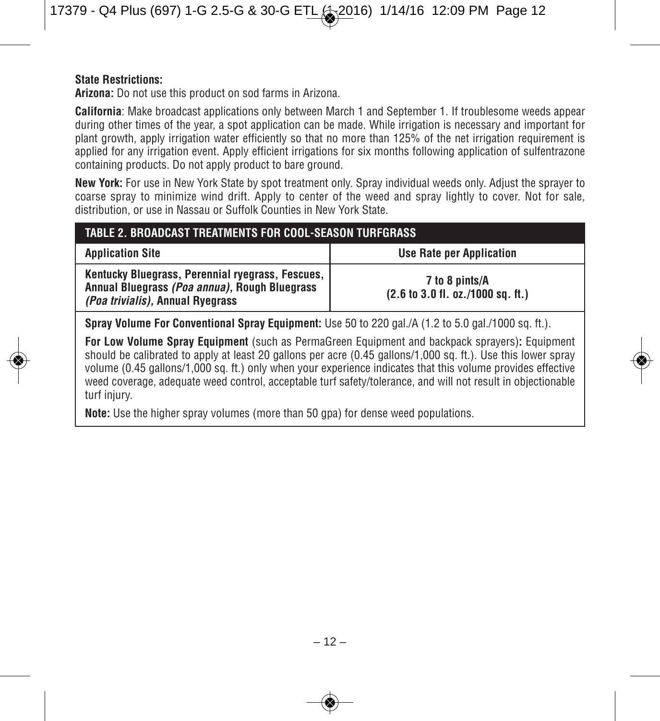### **State Restrictions:**

**Arizona:** Do not use this product on sod farms in Arizona.

**California**: Make broadcast applications only between March 1 and September 1. If troublesome weeds appear during other times of the year, a spot application can be made. While irrigation is necessary and important for plant growth, apply irrigation water efficiently so that no more than 125% of the net irrigation requirement is applied for any irrigation event. Apply efficient irrigations for six months following application of sulfentrazone containing products. Do not apply product to bare ground.

**New York:** For use in New York State by spot treatment only. Spray individual weeds only. Adjust the sprayer to coarse spray to minimize wind drift. Apply to center of the weed and spray lightly to cover. Not for sale, distribution, or use in Nassau or Suffolk Counties in New York State.

| TABLE 2. BROADCAST TREATMENTS FOR COOL-SEASON TURFGRASS                                                                               |                                                                                |  |
|---------------------------------------------------------------------------------------------------------------------------------------|--------------------------------------------------------------------------------|--|
| <b>Application Site</b>                                                                                                               | Use Rate per Application                                                       |  |
| Kentucky Bluegrass, Perennial ryegrass, Fescues,<br>Annual Bluegrass (Poa annua), Rough Bluegrass<br>(Poa trivialis), Annual Ryegrass | 7 to 8 pints/A<br>$(2.6 \text{ to } 3.0 \text{ fl. oz.}/1000 \text{ sa. ft.})$ |  |

**Spray Volume For Conventional Spray Equipment:** Use 50 to 220 gal./A (1.2 to 5.0 gal./1000 sq. ft.).

**For Low Volume Spray Equipment** (such as PermaGreen Equipment and backpack sprayers)**:** Equipment should be calibrated to apply at least 20 gallons per acre (0.45 gallons/1,000 sq. ft.). Use this lower spray volume (0.45 gallons/1,000 sq. ft.) only when your experience indicates that this volume provides effective weed coverage, adequate weed control, acceptable turf safety/tolerance, and will not result in objectionable turf injury.

**Note:** Use the higher spray volumes (more than 50 gpa) for dense weed populations.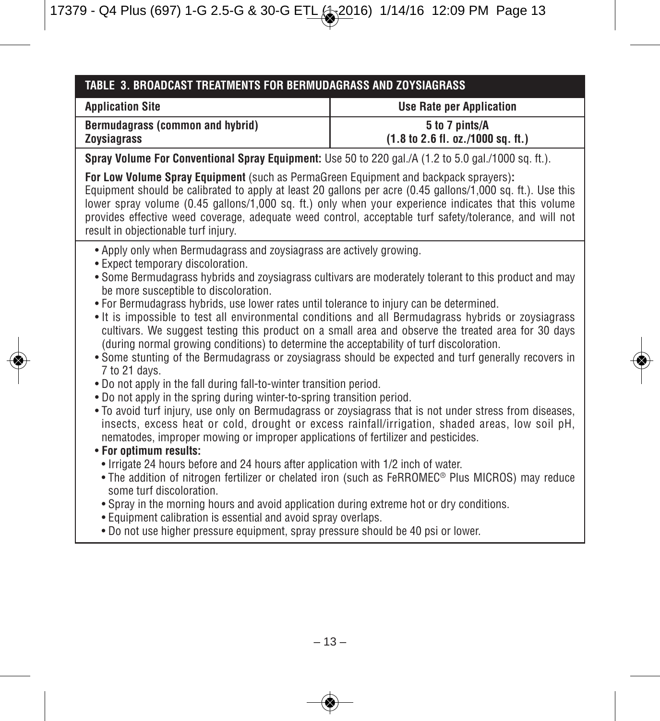| TABLE 3. BROADCAST TREATMENTS FOR BERMUDAGRASS AND ZOYSIAGRASS                                                                                                                                                                                                                                                                                                                                                         |                                                                                |  |  |
|------------------------------------------------------------------------------------------------------------------------------------------------------------------------------------------------------------------------------------------------------------------------------------------------------------------------------------------------------------------------------------------------------------------------|--------------------------------------------------------------------------------|--|--|
| <b>Application Site</b>                                                                                                                                                                                                                                                                                                                                                                                                | <b>Use Rate per Application</b>                                                |  |  |
| Bermudagrass (common and hybrid)<br><b>Zoysiagrass</b>                                                                                                                                                                                                                                                                                                                                                                 | 5 to 7 pints/A<br>$(1.8 \text{ to } 2.6 \text{ fl. oz.}/1000 \text{ sq. ft.})$ |  |  |
| Spray Volume For Conventional Spray Equipment: Use 50 to 220 gal./A (1.2 to 5.0 gal./1000 sg. ft.).                                                                                                                                                                                                                                                                                                                    |                                                                                |  |  |
| For Low Volume Spray Equipment (such as PermaGreen Equipment and backpack sprayers):<br>Equipment should be calibrated to apply at least 20 gallons per acre (0.45 gallons/1,000 sq. ft.). Use this<br>lower spray volume (0.45 gallons/1,000 sq. ft.) only when your experience indicates that this volume<br>provides effective weed coverage, adequate weed control, acceptable turf safety/tolerance, and will not |                                                                                |  |  |

- Apply only when Bermudagrass and zoysiagrass are actively growing.
- Expect temporary discoloration.

result in objectionable turf injury.

- Some Bermudagrass hybrids and zoysiagrass cultivars are moderately tolerant to this product and may be more susceptible to discoloration.
- For Bermudagrass hybrids, use lower rates until tolerance to injury can be determined.
- It is impossible to test all environmental conditions and all Bermudagrass hybrids or zoysiagrass cultivars. We suggest testing this product on a small area and observe the treated area for 30 days (during normal growing conditions) to determine the acceptability of turf discoloration.
- Some stunting of the Bermudagrass or zoysiagrass should be expected and turf generally recovers in 7 to 21 days.
- Do not apply in the fall during fall-to-winter transition period.
- Do not apply in the spring during winter-to-spring transition period.
- To avoid turf injury, use only on Bermudagrass or zoysiagrass that is not under stress from diseases, insects, excess heat or cold, drought or excess rainfall/irrigation, shaded areas, low soil pH, nematodes, improper mowing or improper applications of fertilizer and pesticides.

### • **For optimum results:**

- Irrigate 24 hours before and 24 hours after application with 1/2 inch of water.
- The addition of nitrogen fertilizer or chelated iron (such as FeRROMEC® Plus MICROS) may reduce some turf discoloration.
- Spray in the morning hours and avoid application during extreme hot or dry conditions.
- Equipment calibration is essential and avoid spray overlaps.
- Do not use higher pressure equipment, spray pressure should be 40 psi or lower.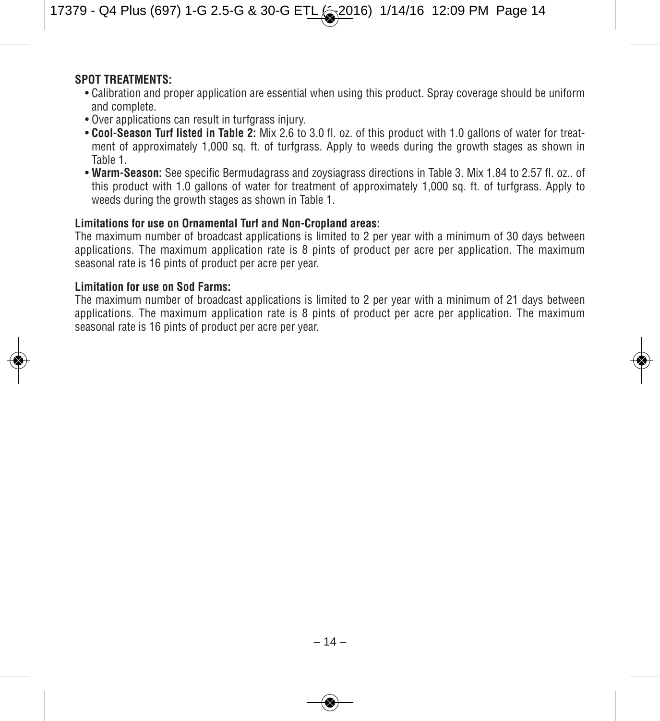### **SPOT TREATMENTS:**

- Calibration and proper application are essential when using this product. Spray coverage should be uniform and complete.
- Over applications can result in turfgrass injury.
- **Cool-Season Turf listed in Table 2:** Mix 2.6 to 3.0 fl. oz. of this product with 1.0 gallons of water for treatment of approximately 1,000 sq. ft. of turfgrass. Apply to weeds during the growth stages as shown in Table 1.
- **Warm-Season:** See specific Bermudagrass and zoysiagrass directions in Table 3. Mix 1.84 to 2.57 fl. oz.. of this product with 1.0 gallons of water for treatment of approximately 1,000 sq. ft. of turfgrass. Apply to weeds during the growth stages as shown in Table 1.

### **Limitations for use on Ornamental Turf and Non-Cropland areas:**

The maximum number of broadcast applications is limited to 2 per year with a minimum of 30 days between applications. The maximum application rate is 8 pints of product per acre per application. The maximum seasonal rate is 16 pints of product per acre per year.

### **Limitation for use on Sod Farms:**

The maximum number of broadcast applications is limited to 2 per year with a minimum of 21 days between applications. The maximum application rate is 8 pints of product per acre per application. The maximum seasonal rate is 16 pints of product per acre per year.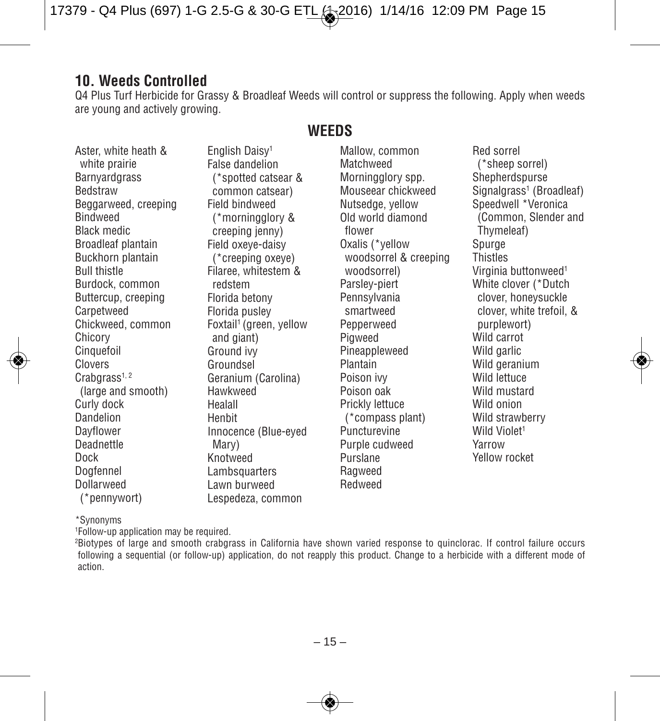### **10. Weeds Controlled**

Q4 Plus Turf Herbicide for Grassy & Broadleaf Weeds will control or suppress the following. Apply when weeds are young and actively growing. **WEEDS**

Aster, white heath & white prairie Barnyardgrass Bedstraw Beggarweed, creeping **Bindweed** Black medic Broadleaf plantain Buckhorn plantain Bull thistle Burdock, common Buttercup, creeping Carpetweed Chickweed, common Chicory Cinquefoil Clovers Crabgrass<sup>1, 2</sup> (large and smooth) Curly dock Dandelion Dayflower Deadnettle Dock Dogfennel Dollarweed (\*pennywort)

English Daisy1 False dandelion (\*spotted catsear & common catsear) Field bindweed (\*morningglory & creeping jenny) Field oxeye-daisy (\*creeping oxeye) Filaree, whitestem & redstem Florida betony Florida pusley Foxtail<sup>1</sup> (green, yellow and giant) Ground ivy Groundsel Geranium (Carolina) Hawkweed Healall Henbit Innocence (Blue-eyed Mary) Knotweed **Lambsquarters** Lawn burweed Lespedeza, common

Mallow, common Matchweed Morningglory spp. Mouseear chickweed Nutsedge, yellow Old world diamond flower Oxalis (\*yellow woodsorrel & creeping woodsorrel) Parsley-piert Pennsylvania smartweed Pepperweed Pigweed Pineappleweed Plantain Poison ivy Poison oak Prickly lettuce (\*compass plant) Puncturevine Purple cudweed Purslane Ragweed Redweed

Red sorrel (\*sheep sorrel) **Shepherdspurse** Signalgrass<sup>1</sup> (Broadleaf) Speedwell \*Veronica (Common, Slender and Thymeleaf) Spurge **Thistles** Virginia buttonweed<sup>1</sup> White clover (\*Dutch clover, honeysuckle clover, white trefoil, & purplewort) Wild carrot Wild garlic Wild geranium Wild lettuce Wild mustard Wild onion Wild strawberry Wild Violet<sup>1</sup> Yarrow Yellow rocket

\*Synonyms

1 Follow-up application may be required.

2 Biotypes of large and smooth crabgrass in California have shown varied response to quinclorac. If control failure occurs following a sequential (or follow-up) application, do not reapply this product. Change to a herbicide with a different mode of action.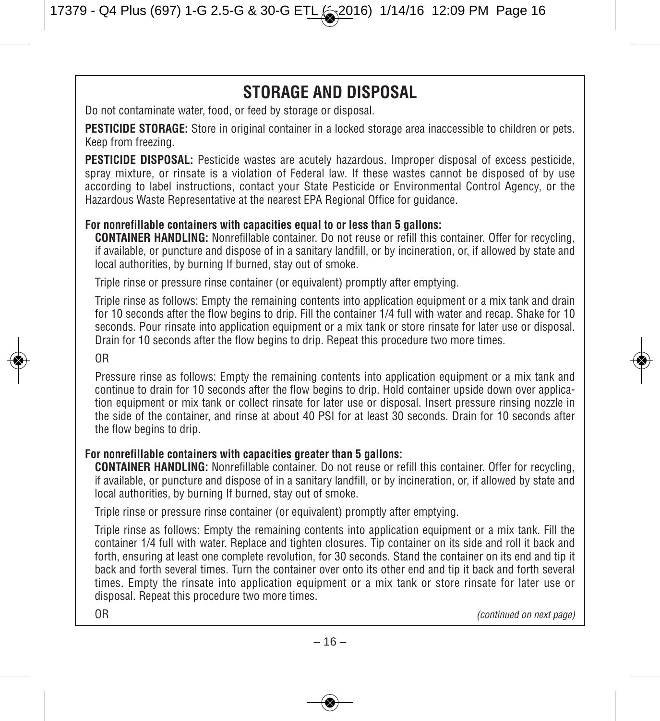## **STORAGE AND DISPOSAL**

Do not contaminate water, food, or feed by storage or disposal.

**PESTICIDE STORAGE:** Store in original container in a locked storage area inaccessible to children or pets. Keep from freezing.

**PESTICIDE DISPOSAL:** Pesticide wastes are acutely hazardous. Improper disposal of excess pesticide, spray mixture, or rinsate is a violation of Federal law. If these wastes cannot be disposed of by use according to label instructions, contact your State Pesticide or Environmental Control Agency, or the Hazardous Waste Representative at the nearest EPA Regional Office for guidance.

### **For nonrefillable containers with capacities equal to or less than 5 gallons:**

**CONTAINER HANDLING:** Nonrefillable container. Do not reuse or refill this container. Offer for recycling, if available, or puncture and dispose of in a sanitary landfill, or by incineration, or, if allowed by state and local authorities, by burning If burned, stay out of smoke.

Triple rinse or pressure rinse container (or equivalent) promptly after emptying.

Triple rinse as follows: Empty the remaining contents into application equipment or a mix tank and drain for 10 seconds after the flow begins to drip. Fill the container 1/4 full with water and recap. Shake for 10 seconds. Pour rinsate into application equipment or a mix tank or store rinsate for later use or disposal. Drain for 10 seconds after the flow begins to drip. Repeat this procedure two more times.

OR

Pressure rinse as follows: Empty the remaining contents into application equipment or a mix tank and continue to drain for 10 seconds after the flow begins to drip. Hold container upside down over application equipment or mix tank or collect rinsate for later use or disposal. Insert pressure rinsing nozzle in the side of the container, and rinse at about 40 PSI for at least 30 seconds. Drain for 10 seconds after the flow begins to drip.

### **For nonrefillable containers with capacities greater than 5 gallons:**

**CONTAINER HANDLING:** Nonrefillable container. Do not reuse or refill this container. Offer for recycling, if available, or puncture and dispose of in a sanitary landfill, or by incineration, or, if allowed by state and local authorities, by burning If burned, stay out of smoke.

Triple rinse or pressure rinse container (or equivalent) promptly after emptying.

Triple rinse as follows: Empty the remaining contents into application equipment or a mix tank. Fill the container 1/4 full with water. Replace and tighten closures. Tip container on its side and roll it back and forth, ensuring at least one complete revolution, for 30 seconds. Stand the container on its end and tip it back and forth several times. Turn the container over onto its other end and tip it back and forth several times. Empty the rinsate into application equipment or a mix tank or store rinsate for later use or disposal. Repeat this procedure two more times.

OR *(continued on next page)*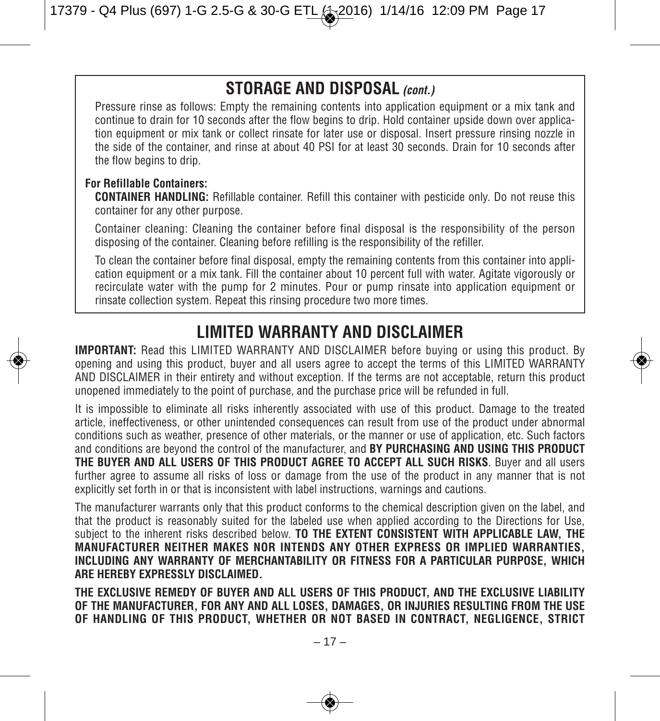### **STORAGE AND DISPOSAL** *(cont.)*

Pressure rinse as follows: Empty the remaining contents into application equipment or a mix tank and continue to drain for 10 seconds after the flow begins to drip. Hold container upside down over application equipment or mix tank or collect rinsate for later use or disposal. Insert pressure rinsing nozzle in the side of the container, and rinse at about 40 PSI for at least 30 seconds. Drain for 10 seconds after the flow begins to drip.

### **For Refillable Containers:**

**CONTAINER HANDLING:** Refillable container. Refill this container with pesticide only. Do not reuse this container for any other purpose.

Container cleaning: Cleaning the container before final disposal is the responsibility of the person disposing of the container. Cleaning before refilling is the responsibility of the refiller.

To clean the container before final disposal, empty the remaining contents from this container into application equipment or a mix tank. Fill the container about 10 percent full with water. Agitate vigorously or recirculate water with the pump for 2 minutes. Pour or pump rinsate into application equipment or rinsate collection system. Repeat this rinsing procedure two more times.

### **LIMITED WARRANTY AND DISCI AIMFR**

**IMPORTANT:** Read this LIMITED WARRANTY AND DISCLAIMER before buying or using this product. By opening and using this product, buyer and all users agree to accept the terms of this LIMITED WARRANTY AND DISCLAIMER in their entirety and without exception. If the terms are not acceptable, return this product unopened immediately to the point of purchase, and the purchase price will be refunded in full.

It is impossible to eliminate all risks inherently associated with use of this product. Damage to the treated article, ineffectiveness, or other unintended consequences can result from use of the product under abnormal conditions such as weather, presence of other materials, or the manner or use of application, etc. Such factors and conditions are beyond the control of the manufacturer, and **BY PURCHASING AND USING THIS PRODUCT THE BUYER AND ALL USERS OF THIS PRODUCT AGREE TO ACCEPT ALL SUCH RISKS**. Buyer and all users further agree to assume all risks of loss or damage from the use of the product in any manner that is not explicitly set forth in or that is inconsistent with label instructions, warnings and cautions.

The manufacturer warrants only that this product conforms to the chemical description given on the label, and that the product is reasonably suited for the labeled use when applied according to the Directions for Use, subject to the inherent risks described below. **TO THE EXTENT CONSISTENT WITH APPLICABLE LAW, THE MANUFACTURER NEITHER MAKES NOR INTENDS ANY OTHER EXPRESS OR IMPLIED WARRANTIES, INCLUDING ANY WARRANTY OF MERCHANTABILITY OR FITNESS FOR A PARTICULAR PURPOSE, WHICH ARE HEREBY EXPRESSLY DISCLAIMED.**

**THE EXCLUSIVE REMEDY OF BUYER AND ALL USERS OF THIS PRODUCT, AND THE EXCLUSIVE LIABILITY OF THE MANUFACTURER, FOR ANY AND ALL LOSES, DAMAGES, OR INJURIES RESULTING FROM THE USE OF HANDLING OF THIS PRODUCT, WHETHER OR NOT BASED IN CONTRACT, NEGLIGENCE, STRICT**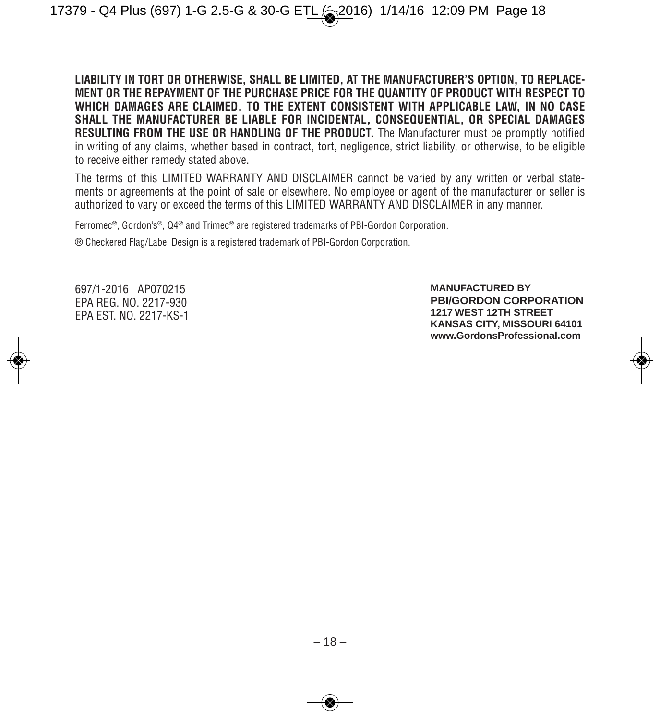**LIABILITY IN TORT OR OTHERWISE, SHALL BE LIMITED, AT THE MANUFACTURER'S OPTION, TO REPLACE-MENT OR THE REPAYMENT OF THE PURCHASE PRICE FOR THE QUANTITY OF PRODUCT WITH RESPECT TO WHICH DAMAGES ARE CLAIMED. TO THE EXTENT CONSISTENT WITH APPLICABLE LAW, IN NO CASE SHALL THE MANUFACTURER BE LIABLE FOR INCIDENTAL, CONSEQUENTIAL, OR SPECIAL DAMAGES RESULTING FROM THE USE OR HANDLING OF THE PRODUCT.** The Manufacturer must be promptly notified in writing of any claims, whether based in contract, tort, negligence, strict liability, or otherwise, to be eligible to receive either remedy stated above.

The terms of this LIMITED WARRANTY AND DISCLAIMER cannot be varied by any written or verbal statements or agreements at the point of sale or elsewhere. No employee or agent of the manufacturer or seller is authorized to vary or exceed the terms of this LIMITED WARRANTY AND DISCLAIMER in any manner.

Ferromec®, Gordon's®, Q4® and Trimec® are registered trademarks of PBI-Gordon Corporation.

® Checkered Flag/Label Design is a registered trademark of PBI-Gordon Corporation.

697/1-2016 AP070215 EPA REG. NO. 2217-930 EPA EST. NO. 2217-KS-1 **MANUFACTURED BY PBI/GORDON CORPORATION 1217 WEST 12TH STREET KANSAS CITY, MISSOURI 64101 www.GordonsProfessional.com**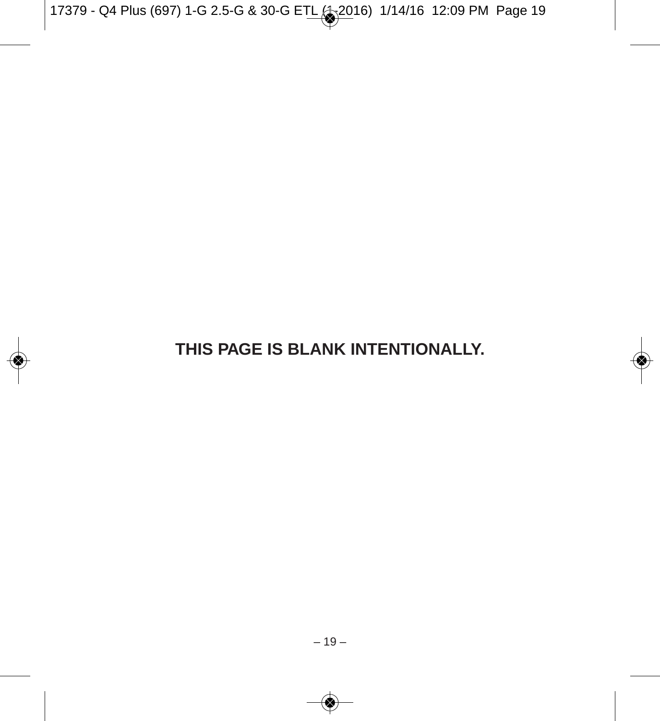### **THIS PAGE IS BLANK INTENTIONALLY.**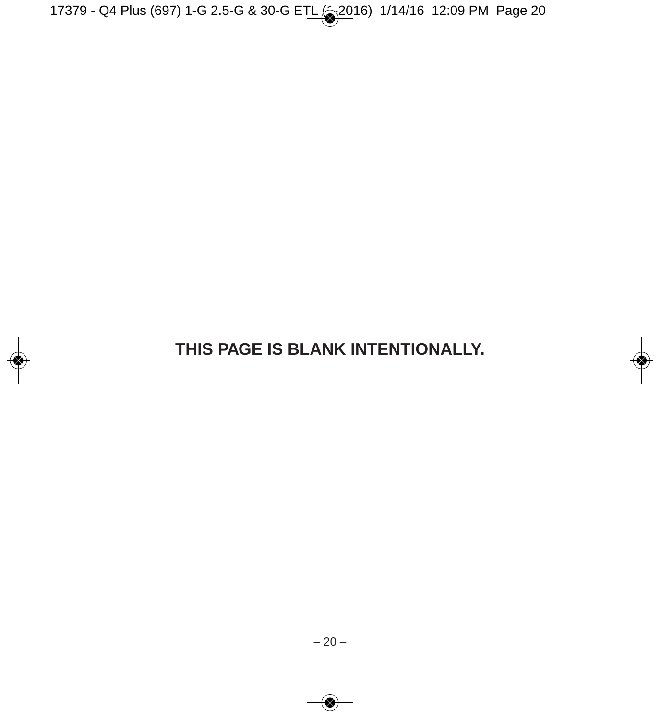### **THIS PAGE IS BLANK INTENTIONALLY.**